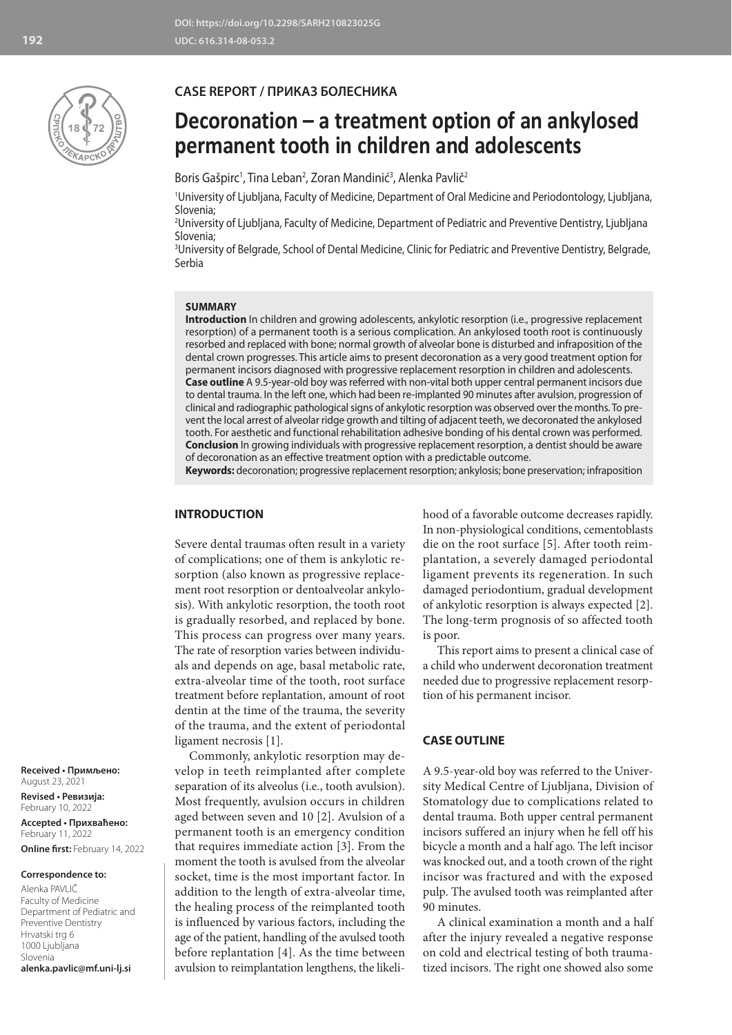

# **CASE REPORT / ПРИКАЗ БОЛЕСНИКА**

# **Decoronation – a treatment option of an ankylosed permanent tooth in children and adolescents**

Boris Gašpirc<sup>1</sup>, Tina Leban<sup>2</sup>, Zoran Mandinić<sup>3</sup>, Alenka Pavlič<sup>2</sup>

1 University of Ljubljana, Faculty of Medicine, Department of Oral Medicine and Periodontology, Ljubljana, Slovenia;

2 University of Ljubljana, Faculty of Medicine, Department of Pediatric and Preventive Dentistry, Ljubljana Slovenia;

3 University of Belgrade, School of Dental Medicine, Clinic for Pediatric and Preventive Dentistry, Belgrade, Serbia

### **SUMMARY**

**Introduction** In children and growing adolescents, ankylotic resorption (i.e., progressive replacement resorption) of a permanent tooth is a serious complication. An ankylosed tooth root is continuously resorbed and replaced with bone; normal growth of alveolar bone is disturbed and infraposition of the dental crown progresses. This article aims to present decoronation as a very good treatment option for permanent incisors diagnosed with progressive replacement resorption in children and adolescents. **Case outline** A 9.5-year-old boy was referred with non-vital both upper central permanent incisors due to dental trauma. In the left one, which had been re-implanted 90 minutes after avulsion, progression of clinical and radiographic pathological signs of ankylotic resorption was observed over the months. To prevent the local arrest of alveolar ridge growth and tilting of adjacent teeth, we decoronated the ankylosed tooth. For aesthetic and functional rehabilitation adhesive bonding of his dental crown was performed. **Conclusion** In growing individuals with progressive replacement resorption, a dentist should be aware of decoronation as an effective treatment option with a predictable outcome.

**Keywords:** decoronation; progressive replacement resorption; ankylosis; bone preservation; infraposition

## **INTRODUCTION**

Severe dental traumas often result in a variety of complications; one of them is ankylotic resorption (also known as progressive replacement root resorption or dentoalveolar ankylosis). With ankylotic resorption, the tooth root is gradually resorbed, and replaced by bone. This process can progress over many years. The rate of resorption varies between individuals and depends on age, basal metabolic rate, extra-alveolar time of the tooth, root surface treatment before replantation, amount of root dentin at the time of the trauma, the severity of the trauma, and the extent of periodontal ligament necrosis [1].

Commonly, ankylotic resorption may develop in teeth reimplanted after complete separation of its alveolus (i.e., tooth avulsion). Most frequently, avulsion occurs in children aged between seven and 10 [2]. Avulsion of a permanent tooth is an emergency condition that requires immediate action [3]. From the moment the tooth is avulsed from the alveolar socket, time is the most important factor. In addition to the length of extra-alveolar time, the healing process of the reimplanted tooth is influenced by various factors, including the age of the patient, handling of the avulsed tooth before replantation [4]. As the time between avulsion to reimplantation lengthens, the likelihood of a favorable outcome decreases rapidly. In non-physiological conditions, cementoblasts die on the root surface [5]. After tooth reimplantation, a severely damaged periodontal ligament prevents its regeneration. In such damaged periodontium, gradual development of ankylotic resorption is always expected [2]. The long-term prognosis of so affected tooth is poor.

This report aims to present a clinical case of a child who underwent decoronation treatment needed due to progressive replacement resorption of his permanent incisor.

#### **CASE OUTLINE**

A 9.5-year-old boy was referred to the University Medical Centre of Ljubljana, Division of Stomatology due to complications related to dental trauma. Both upper central permanent incisors suffered an injury when he fell off his bicycle a month and a half ago. The left incisor was knocked out, and a tooth crown of the right incisor was fractured and with the exposed pulp. The avulsed tooth was reimplanted after 90 minutes.

A clinical examination a month and a half after the injury revealed a negative response on cold and electrical testing of both traumatized incisors. The right one showed also some

**Received • Примљено:**  August 23, 2021

**Revised • Ревизија:**  February 10, 2022 **Accepted • Прихваћено:** February 11, 2022 **Online first:** February 14, 2022

#### **Correspondence to:**

Alenka PAVLIČ Faculty of Medicine Department of Pediatric and Preventive Dentistry Hrvatski trg 6 1000 Ljubljana Slovenia **alenka.pavlic@mf.uni-lj.si**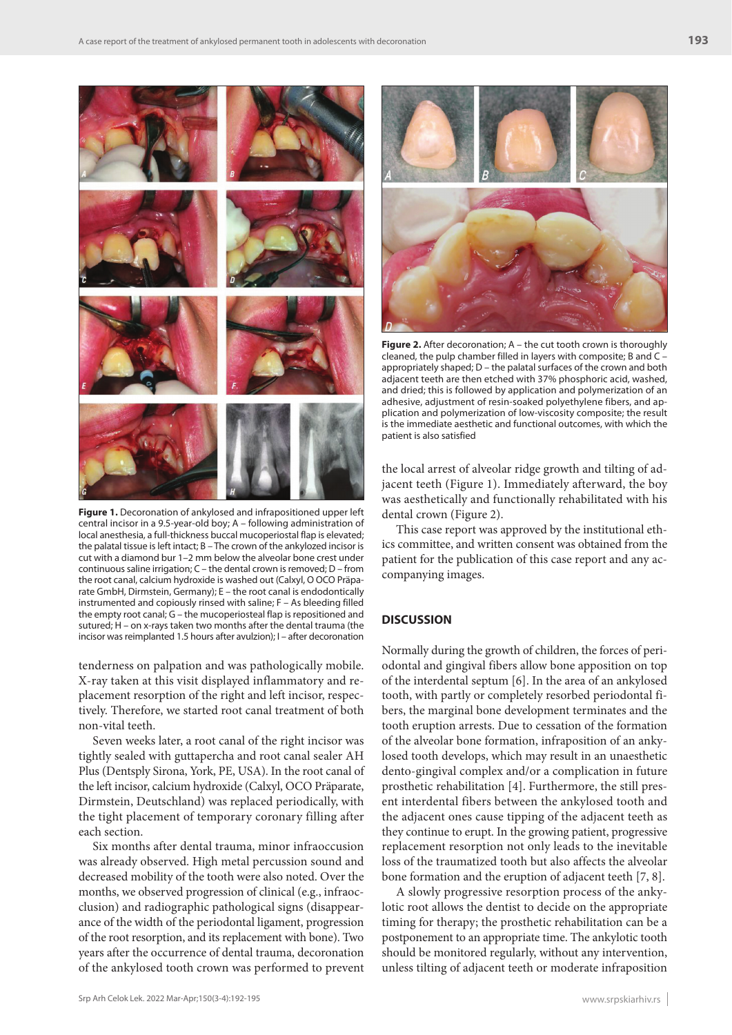

**Figure 1.** Decoronation of ankylosed and infrapositioned upper left central incisor in a 9.5-year-old boy; A – following administration of local anesthesia, a full-thickness buccal mucoperiostal flap is elevated; the palatal tissue is left intact; B – The crown of the ankylozed incisor is cut with a diamond bur 1–2 mm below the alveolar bone crest under continuous saline irrigation; C – the dental crown is removed; D – from the root canal, calcium hydroxide is washed out (Calxyl, O OCO Präparate GmbH, Dirmstein, Germany); E – the root canal is endodontically instrumented and copiously rinsed with saline; F – As bleeding filled the empty root canal; G – the mucoperiosteal flap is repositioned and sutured; H – on x-rays taken two months after the dental trauma (the incisor was reimplanted 1.5 hours after avulzion); I – after decoronation

tenderness on palpation and was pathologically mobile. X-ray taken at this visit displayed inflammatory and replacement resorption of the right and left incisor, respectively. Therefore, we started root canal treatment of both non-vital teeth.

Seven weeks later, a root canal of the right incisor was tightly sealed with guttapercha and root canal sealer AH Plus (Dentsply Sirona, York, PE, USA). In the root canal of the left incisor, calcium hydroxide (Calxyl, OCO Präparate, Dirmstein, Deutschland) was replaced periodically, with the tight placement of temporary coronary filling after each section.

Six months after dental trauma, minor infraoccusion was already observed. High metal percussion sound and decreased mobility of the tooth were also noted. Over the months, we observed progression of clinical (e.g., infraocclusion) and radiographic pathological signs (disappearance of the width of the periodontal ligament, progression of the root resorption, and its replacement with bone). Two years after the occurrence of dental trauma, decoronation of the ankylosed tooth crown was performed to prevent



**Figure 2.** After decoronation; A – the cut tooth crown is thoroughly cleaned, the pulp chamber filled in layers with composite; B and C – appropriately shaped; D – the palatal surfaces of the crown and both adjacent teeth are then etched with 37% phosphoric acid, washed, and dried; this is followed by application and polymerization of an adhesive, adjustment of resin-soaked polyethylene fibers, and application and polymerization of low-viscosity composite; the result is the immediate aesthetic and functional outcomes, with which the patient is also satisfied

the local arrest of alveolar ridge growth and tilting of adjacent teeth (Figure 1). Immediately afterward, the boy was aesthetically and functionally rehabilitated with his dental crown (Figure 2).

This case report was approved by the institutional ethics committee, and written consent was obtained from the patient for the publication of this case report and any accompanying images.

# **DISCUSSION**

Normally during the growth of children, the forces of periodontal and gingival fibers allow bone apposition on top of the interdental septum [6]. In the area of an ankylosed tooth, with partly or completely resorbed periodontal fibers, the marginal bone development terminates and the tooth eruption arrests. Due to cessation of the formation of the alveolar bone formation, infraposition of an ankylosed tooth develops, which may result in an unaesthetic dento-gingival complex and/or a complication in future prosthetic rehabilitation [4]. Furthermore, the still present interdental fibers between the ankylosed tooth and the adjacent ones cause tipping of the adjacent teeth as they continue to erupt. In the growing patient, progressive replacement resorption not only leads to the inevitable loss of the traumatized tooth but also affects the alveolar bone formation and the eruption of adjacent teeth [7, 8].

A slowly progressive resorption process of the ankylotic root allows the dentist to decide on the appropriate timing for therapy; the prosthetic rehabilitation can be a postponement to an appropriate time. The ankylotic tooth should be monitored regularly, without any intervention, unless tilting of adjacent teeth or moderate infraposition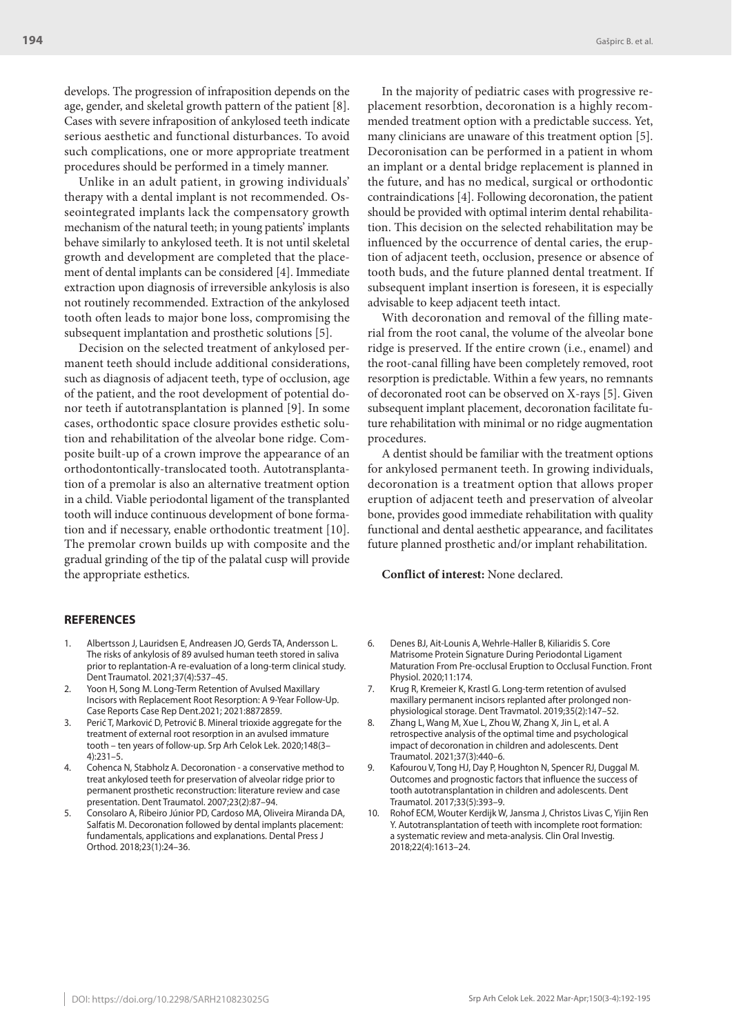develops. The progression of infraposition depends on the age, gender, and skeletal growth pattern of the patient [8]. Cases with severe infraposition of ankylosed teeth indicate serious aesthetic and functional disturbances. To avoid such complications, one or more appropriate treatment procedures should be performed in a timely manner.

Unlike in an adult patient, in growing individuals' therapy with a dental implant is not recommended. Osseointegrated implants lack the compensatory growth mechanism of the natural teeth; in young patients' implants behave similarly to ankylosed teeth. It is not until skeletal growth and development are completed that the placement of dental implants can be considered [4]. Immediate extraction upon diagnosis of irreversible ankylosis is also not routinely recommended. Extraction of the ankylosed tooth often leads to major bone loss, compromising the subsequent implantation and prosthetic solutions [5].

Decision on the selected treatment of ankylosed permanent teeth should include additional considerations, such as diagnosis of adjacent teeth, type of occlusion, age of the patient, and the root development of potential donor teeth if autotransplantation is planned [9]. In some cases, orthodontic space closure provides esthetic solution and rehabilitation of the alveolar bone ridge. Composite built-up of a crown improve the appearance of an orthodontontically-translocated tooth. Autotransplantation of a premolar is also an alternative treatment option in a child. Viable periodontal ligament of the transplanted tooth will induce continuous development of bone formation and if necessary, enable orthodontic treatment [10]. The premolar crown builds up with composite and the gradual grinding of the tip of the palatal cusp will provide the appropriate esthetics.

In the majority of pediatric cases with progressive replacement resorbtion, decoronation is a highly recommended treatment option with a predictable success. Yet, many clinicians are unaware of this treatment option [5]. Decoronisation can be performed in a patient in whom an implant or a dental bridge replacement is planned in the future, and has no medical, surgical or orthodontic contraindications [4]. Following decoronation, the patient should be provided with optimal interim dental rehabilitation. This decision on the selected rehabilitation may be influenced by the occurrence of dental caries, the eruption of adjacent teeth, occlusion, presence or absence of tooth buds, and the future planned dental treatment. If subsequent implant insertion is foreseen, it is especially advisable to keep adjacent teeth intact.

With decoronation and removal of the filling material from the root canal, the volume of the alveolar bone ridge is preserved. If the entire crown (i.e., enamel) and the root-canal filling have been completely removed, root resorption is predictable. Within a few years, no remnants of decoronated root can be observed on X-rays [5]. Given subsequent implant placement, decoronation facilitate future rehabilitation with minimal or no ridge augmentation procedures.

A dentist should be familiar with the treatment options for ankylosed permanent teeth. In growing individuals, decoronation is a treatment option that allows proper eruption of adjacent teeth and preservation of alveolar bone, provides good immediate rehabilitation with quality functional and dental aesthetic appearance, and facilitates future planned prosthetic and/or implant rehabilitation.

#### **Conflict of interest:** None declared.

#### **REFERENCES**

- 1. Albertsson J, Lauridsen E, Andreasen JO, Gerds TA, Andersson L. The risks of ankylosis of 89 avulsed human teeth stored in saliva prior to replantation-A re-evaluation of a long-term clinical study. Dent Traumatol. 2021;37(4):537–45.
- 2. Yoon H, Song M. Long-Term Retention of Avulsed Maxillary Incisors with Replacement Root Resorption: A 9-Year Follow-Up. Case Reports Case Rep Dent.2021; 2021:8872859.
- Perić T, Marković D, Petrović B. Mineral trioxide aggregate for the treatment of external root resorption in an avulsed immature tooth – ten years of follow-up. Srp Arh Celok Lek. 2020;148(3– 4):231–5.
- 4. Cohenca N, Stabholz A. Decoronation a conservative method to treat ankylosed teeth for preservation of alveolar ridge prior to permanent prosthetic reconstruction: literature review and case presentation. Dent Traumatol. 2007;23(2):87–94.
- 5. Consolaro A, Ribeiro Júnior PD, Cardoso MA, Oliveira Miranda DA, Salfatis M. Decoronation followed by dental implants placement: fundamentals, applications and explanations. Dental Press J Orthod. 2018;23(1):24–36.
- 6. Denes BJ, Ait-Lounis A, Wehrle-Haller B, Kiliaridis S. Core Matrisome Protein Signature During Periodontal Ligament Maturation From Pre-occlusal Eruption to Occlusal Function. Front Physiol. 2020;11:174.
- 7. Krug R, Kremeier K, Krastl G. Long-term retention of avulsed maxillary permanent incisors replanted after prolonged nonphysiological storage. Dent Travmatol. 2019;35(2):147–52.
- 8. Zhang L, Wang M, Xue L, Zhou W, Zhang X, Jin L, et al. A retrospective analysis of the optimal time and psychological impact of decoronation in children and adolescents. Dent Traumatol. 2021;37(3):440–6.
- 9. Kafourou V, Tong HJ, Day P, Houghton N, Spencer RJ, Duggal M. Outcomes and prognostic factors that influence the success of tooth autotransplantation in children and adolescents. Dent Traumatol. 2017;33(5):393–9.
- Rohof ECM, Wouter Kerdijk W, Jansma J, Christos Livas C, Yijin Ren Y. Autotransplantation of teeth with incomplete root formation: a systematic review and meta-analysis. Clin Oral Investig. 2018;22(4):1613–24.